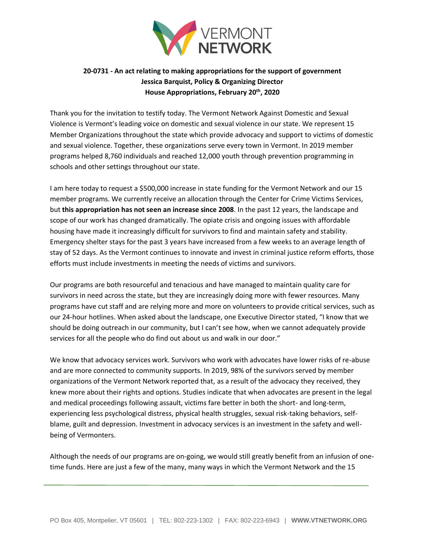

## **20-0731 - An act relating to making appropriations for the support of government Jessica Barquist, Policy & Organizing Director House Appropriations, February 20th, 2020**

Thank you for the invitation to testify today. The Vermont Network Against Domestic and Sexual Violence is Vermont's leading voice on domestic and sexual violence in our state. We represent 15 Member Organizations throughout the state which provide advocacy and support to victims of domestic and sexual violence. Together, these organizations serve every town in Vermont. In 2019 member programs helped 8,760 individuals and reached 12,000 youth through prevention programming in schools and other settings throughout our state.

I am here today to request a \$500,000 increase in state funding for the Vermont Network and our 15 member programs. We currently receive an allocation through the Center for Crime Victims Services, but **this appropriation has not seen an increase since 2008**. In the past 12 years, the landscape and scope of our work has changed dramatically. The opiate crisis and ongoing issues with affordable housing have made it increasingly difficult for survivors to find and maintain safety and stability. Emergency shelter stays for the past 3 years have increased from a few weeks to an average length of stay of 52 days. As the Vermont continues to innovate and invest in criminal justice reform efforts, those efforts must include investments in meeting the needs of victims and survivors.

Our programs are both resourceful and tenacious and have managed to maintain quality care for survivors in need across the state, but they are increasingly doing more with fewer resources. Many programs have cut staff and are relying more and more on volunteers to provide critical services, such as our 24-hour hotlines. When asked about the landscape, one Executive Director stated, "I know that we should be doing outreach in our community, but I can't see how, when we cannot adequately provide services for all the people who do find out about us and walk in our door."

We know that advocacy services work. Survivors who work with advocates have lower risks of re-abuse and are more connected to community supports. In 2019, 98% of the survivors served by member organizations of the Vermont Network reported that, as a result of the advocacy they received, they knew more about their rights and options. Studies indicate that when advocates are present in the legal and medical proceedings following assault, victims fare better in both the short- and long-term, experiencing less psychological distress, physical health struggles, sexual risk-taking behaviors, selfblame, guilt and depression. Investment in advocacy services is an investment in the safety and wellbeing of Vermonters.

Although the needs of our programs are on-going, we would still greatly benefit from an infusion of onetime funds. Here are just a few of the many, many ways in which the Vermont Network and the 15